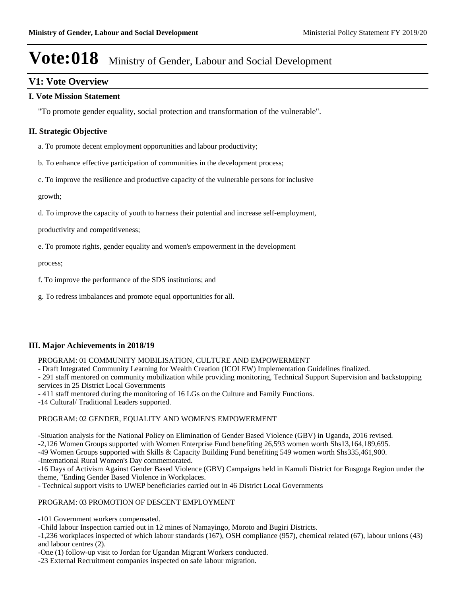### **V1: Vote Overview**

#### **I. Vote Mission Statement**

"To promote gender equality, social protection and transformation of the vulnerable".

#### **II. Strategic Objective**

a. To promote decent employment opportunities and labour productivity;

b. To enhance effective participation of communities in the development process;

c. To improve the resilience and productive capacity of the vulnerable persons for inclusive

growth;

d. To improve the capacity of youth to harness their potential and increase self-employment,

productivity and competitiveness;

e. To promote rights, gender equality and women's empowerment in the development

process;

f. To improve the performance of the SDS institutions; and

g. To redress imbalances and promote equal opportunities for all.

#### **III. Major Achievements in 2018/19**

PROGRAM: 01 COMMUNITY MOBILISATION, CULTURE AND EMPOWERMENT

- Draft Integrated Community Learning for Wealth Creation (ICOLEW) Implementation Guidelines finalized.

- 291 staff mentored on community mobilization while providing monitoring, Technical Support Supervision and backstopping services in 25 District Local Governments

- 411 staff mentored during the monitoring of 16 LGs on the Culture and Family Functions.

-14 Cultural/ Traditional Leaders supported.

#### PROGRAM: 02 GENDER, EQUALITY AND WOMEN'S EMPOWERMENT

-Situation analysis for the National Policy on Elimination of Gender Based Violence (GBV) in Uganda, 2016 revised. -2,126 Women Groups supported with Women Enterprise Fund benefiting 26,593 women worth Shs13,164,189,695. -49 Women Groups supported with Skills & Capacity Building Fund benefiting 549 women worth Shs335,461,900.

-International Rural Women's Day commemorated.

-16 Days of Activism Against Gender Based Violence (GBV) Campaigns held in Kamuli District for Busgoga Region under the theme, "Ending Gender Based Violence in Workplaces.

- Technical support visits to UWEP beneficiaries carried out in 46 District Local Governments

#### PROGRAM: 03 PROMOTION OF DESCENT EMPLOYMENT

-101 Government workers compensated.

-Child labour Inspection carried out in 12 mines of Namayingo, Moroto and Bugiri Districts.

-1,236 workplaces inspected of which labour standards (167), OSH compliance (957), chemical related (67), labour unions (43) and labour centres (2).

-One (1) follow-up visit to Jordan for Ugandan Migrant Workers conducted.

-23 External Recruitment companies inspected on safe labour migration.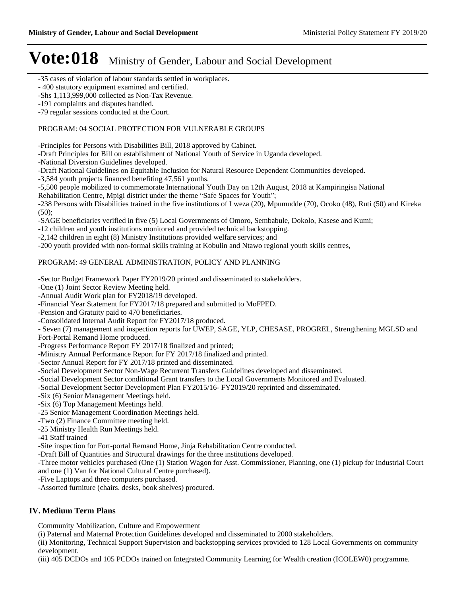-35 cases of violation of labour standards settled in workplaces.

- 400 statutory equipment examined and certified.

-Shs 1,113,999,000 collected as Non-Tax Revenue.

-191 complaints and disputes handled.

-79 regular sessions conducted at the Court.

#### PROGRAM: 04 SOCIAL PROTECTION FOR VULNERABLE GROUPS

-Principles for Persons with Disabilities Bill, 2018 approved by Cabinet.

-Draft Principles for Bill on establishment of National Youth of Service in Uganda developed.

-National Diversion Guidelines developed.

-Draft National Guidelines on Equitable Inclusion for Natural Resource Dependent Communities developed.

-3,584 youth projects financed benefiting 47,561 youths.

-5,500 people mobilized to commemorate International Youth Day on 12th August, 2018 at Kampiringisa National

Rehabilitation Centre, Mpigi district under the theme "Safe Spaces for Youth";

-238 Persons with Disabilities trained in the five institutions of Lweza (20), Mpumudde (70), Ocoko (48), Ruti (50) and Kireka  $(50)$ ;

-SAGE beneficiaries verified in five (5) Local Governments of Omoro, Sembabule, Dokolo, Kasese and Kumi;

-12 children and youth institutions monitored and provided technical backstopping.

-2,142 children in eight (8) Ministry Institutions provided welfare services; and

-200 youth provided with non-formal skills training at Kobulin and Ntawo regional youth skills centres,

#### PROGRAM: 49 GENERAL ADMINISTRATION, POLICY AND PLANNING

-Sector Budget Framework Paper FY2019/20 printed and disseminated to stakeholders.

-One (1) Joint Sector Review Meeting held.

-Annual Audit Work plan for FY2018/19 developed.

-Financial Year Statement for FY2017/18 prepared and submitted to MoFPED.

-Pension and Gratuity paid to 470 beneficiaries.

-Consolidated Internal Audit Report for FY2017/18 produced.

- Seven (7) management and inspection reports for UWEP, SAGE, YLP, CHESASE, PROGREL, Strengthening MGLSD and Fort-Portal Remand Home produced.

-Progress Performance Report FY 2017/18 finalized and printed;

-Ministry Annual Performance Report for FY 2017/18 finalized and printed.

-Sector Annual Report for FY 2017/18 printed and disseminated.

-Social Development Sector Non-Wage Recurrent Transfers Guidelines developed and disseminated.

-Social Development Sector conditional Grant transfers to the Local Governments Monitored and Evaluated.

-Social Development Sector Development Plan FY2015/16- FY2019/20 reprinted and disseminated.

-Six (6) Senior Management Meetings held.

-Six (6) Top Management Meetings held.

-25 Senior Management Coordination Meetings held.

-Two (2) Finance Committee meeting held.

-25 Ministry Health Run Meetings held.

-41 Staff trained

-Site inspection for Fort-portal Remand Home, Jinja Rehabilitation Centre conducted.

-Draft Bill of Quantities and Structural drawings for the three institutions developed.

-Three motor vehicles purchased (One (1) Station Wagon for Asst. Commissioner, Planning, one (1) pickup for Industrial Court and one (1) Van for National Cultural Centre purchased).

-Five Laptops and three computers purchased.

-Assorted furniture (chairs. desks, book shelves) procured.

#### **IV. Medium Term Plans**

Community Mobilization, Culture and Empowerment

(i) Paternal and Maternal Protection Guidelines developed and disseminated to 2000 stakeholders.

(ii) Monitoring, Technical Support Supervision and backstopping services provided to 128 Local Governments on community development.

(iii) 405 DCDOs and 105 PCDOs trained on Integrated Community Learning for Wealth creation (ICOLEW0) programme.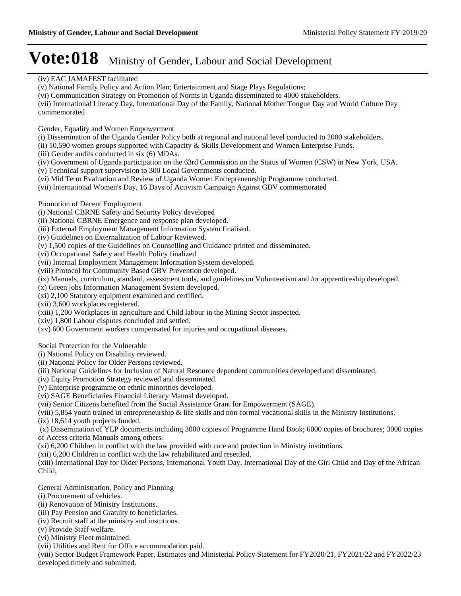#### (iv) EAC JAMAFEST facilitated

- (v) National Family Policy and Action Plan; Entertainment and Stage Plays Regulations;
- (vi) Communication Strategy on Promotion of Norms in Uganda disseminated to 4000 stakeholders.

(vii) International Literacy Day, International Day of the Family, National Mother Tongue Day and World Culture Day commemorated

Gender, Equality and Women Empowerment

(i) Dissemination of the Uganda Gender Policy both at regional and national level conducted to 2000 stakeholders.

(ii) 10,590 women groups supported with Capacity & Skills Development and Women Enterprise Funds.

- (iii) Gender audits conducted in six (6) MDAs.
- (iv) Government of Uganda participation on the 63rd Commission on the Status of Women (CSW) in New York, USA.
- (v) Technical support supervision to 300 Local Governments conducted.
- (vi) Mid Term Evaluation and Review of Uganda Women Entrepreneurship Programme conducted.
- (vii) International Women's Day, 16 Days of Activism Campaign Against GBV commemorated

#### Promotion of Decent Employment

- (i) National CBRNE Safety and Security Policy developed
- (ii) National CBRNE Emergence and response plan developed.
- (iii) External Employment Management Information System finalised.
- (iv) Guidelines on Externalization of Labour Reviewed.
- (v) 1,500 copies of the Guidelines on Counselling and Guidance printed and disseminated.
- (vi) Occupational Safety and Health Policy finalized
- (vii) Internal Employment Management Information System developed.
- (viii) Protocol for Community Based GBV Prevention developed.
- (ix) Manuals, curriculum, standard, assessment tools, and guidelines on Volunteerism and /or apprenticeship developed.
- (x) Green jobs Information Management System developed.
- (xi) 2,100 Statutory equipment examined and certified.
- (xii) 3,600 workplaces registered.
- (xiii) 1,200 Workplaces in agriculture and Child labour in the Mining Sector inspected.
- (xiv) 1,800 Labour disputes concluded and settled.
- (xv) 600 Government workers compensated for injuries and occupational diseases.

Social Protection for the Vulnerable

(i) National Policy on Disability reviewed.

- (ii) National Policy for Older Persons reviewed.
- (iii) National Guidelines for Inclusion of Natural Resource dependent communities developed and disseminated.
- (iv) Equity Promotion Strategy reviewed and disseminated.
- (v) Enterprise programme on ethnic minorities developed.
- (vi) SAGE Beneficiaries Financial Literacy Manual developed.
- (vii) Senior Citizens benefited from the Social Assistance Grant for Empowerment (SAGE).
- (viii) 5,854 youth trained in entrepreneurship & life skills and non-formal vocational skills in the Ministry Institutions.
- (ix) 18,614 youth projects funded.

 (x) Dissemination of YLP documents including 3000 copies of Programme Hand Book; 6000 copies of brochures; 3000 copies of Access criteria Manuals among others.

(xi) 6,200 Children in conflict with the law provided with care and protection in Ministry institutions.

(xii) 6,200 Children in conflict with the law rehabilitated and resettled.

(xiii) International Day for Older Persons, International Youth Day, International Day of the Girl Child and Day of the African Child;

General Administration, Policy and Planning

- (i) Procurement of vehicles.
- (ii) Renovation of Ministry Institutions.
- (iii) Pay Pension and Gratuity to beneficiaries.
- (iv) Recruit staff at the ministry and instutions.
- (v) Provide Staff welfare.
- (vi) Ministry Fleet maintained.
- (vii) Utilities and Rent for Office accommodation paid.

(viii) Sector Budget Framework Paper, Estimates and Ministerial Policy Statement for FY2020/21, FY2021/22 and FY2022/23 developed timely and submitted.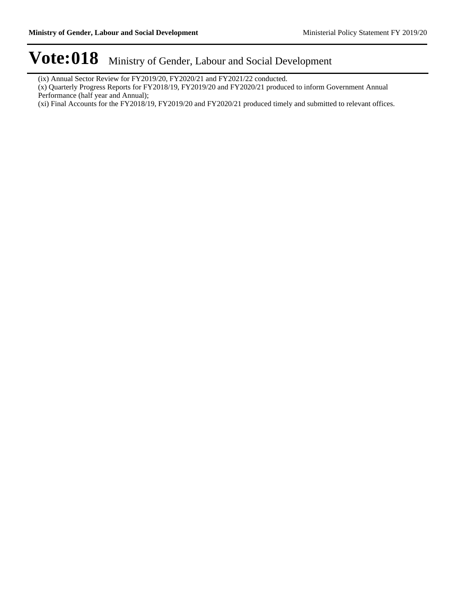- (ix) Annual Sector Review for FY2019/20, FY2020/21 and FY2021/22 conducted.
- (x) Quarterly Progress Reports for FY2018/19, FY2019/20 and FY2020/21 produced to inform Government Annual Performance (half year and Annual);
- (xi) Final Accounts for the FY2018/19, FY2019/20 and FY2020/21 produced timely and submitted to relevant offices.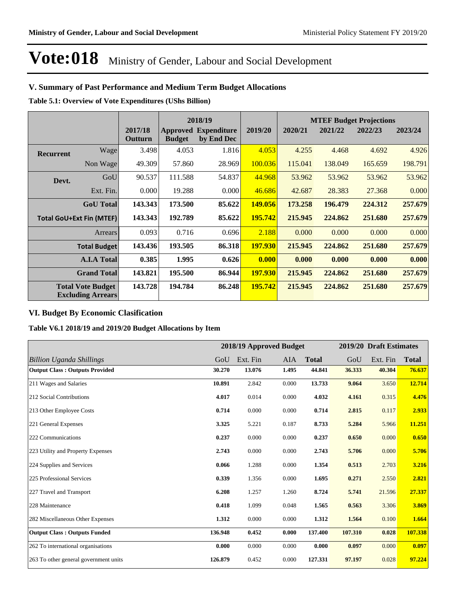#### **V. Summary of Past Performance and Medium Term Budget Allocations**

**Table 5.1: Overview of Vote Expenditures (UShs Billion)**

|                                                      |                                 |                    |                                  | 2018/19                          |                |         |         | <b>MTEF Budget Projections</b> |         |
|------------------------------------------------------|---------------------------------|--------------------|----------------------------------|----------------------------------|----------------|---------|---------|--------------------------------|---------|
|                                                      |                                 | 2017/18<br>Outturn | <b>Approved</b><br><b>Budget</b> | <b>Expenditure</b><br>by End Dec | 2019/20        | 2020/21 | 2021/22 | 2022/23                        | 2023/24 |
| <b>Recurrent</b>                                     | Wage                            | 3.498              | 4.053                            | 1.816                            | 4.053          | 4.255   | 4.468   | 4.692                          | 4.926   |
|                                                      | Non Wage                        | 49.309             | 57.860                           | 28.969                           | 100.036        | 115.041 | 138.049 | 165.659                        | 198.791 |
| Devt.                                                | GoU                             | 90.537             | 111.588                          | 54.837                           | 44.968         | 53.962  | 53.962  | 53.962                         | 53.962  |
|                                                      | Ext. Fin.                       | 0.000              | 19.288                           | 0.000                            | 46.686         | 42.687  | 28.383  | 27.368                         | 0.000   |
|                                                      | <b>GoU</b> Total                | 143.343            | 173.500                          | 85.622                           | 149.056        | 173.258 | 196.479 | 224.312                        | 257.679 |
|                                                      | <b>Total GoU+Ext Fin (MTEF)</b> | 143.343            | 192.789                          | 85.622                           | 195.742        | 215.945 | 224.862 | 251.680                        | 257.679 |
|                                                      | Arrears                         | 0.093              | 0.716                            | 0.696                            | 2.188          | 0.000   | 0.000   | 0.000                          | 0.000   |
|                                                      | <b>Total Budget</b>             | 143.436            | 193.505                          | 86.318                           | <b>197.930</b> | 215.945 | 224.862 | 251.680                        | 257.679 |
|                                                      | <b>A.I.A Total</b>              | 0.385              | 1.995                            | 0.626                            | 0.000          | 0.000   | 0.000   | 0.000                          | 0.000   |
|                                                      | <b>Grand Total</b>              | 143.821            | 195.500                          | 86.944                           | <b>197.930</b> | 215.945 | 224.862 | 251.680                        | 257.679 |
| <b>Total Vote Budget</b><br><b>Excluding Arrears</b> |                                 | 143.728            | 194.784                          | 86.248                           | 195.742        | 215.945 | 224.862 | 251.680                        | 257.679 |

#### **VI. Budget By Economic Clasification**

**Table V6.1 2018/19 and 2019/20 Budget Allocations by Item**

|                                       |         | 2018/19 Approved Budget | 2019/20 Draft Estimates |              |         |          |              |
|---------------------------------------|---------|-------------------------|-------------------------|--------------|---------|----------|--------------|
| <b>Billion Uganda Shillings</b>       | GoU     | Ext. Fin                | AIA                     | <b>Total</b> | GoU     | Ext. Fin | <b>Total</b> |
| <b>Output Class: Outputs Provided</b> | 30.270  | 13.076                  | 1.495                   | 44.841       | 36.333  | 40.304   | 76.637       |
| 211 Wages and Salaries                | 10.891  | 2.842                   | 0.000                   | 13.733       | 9.064   | 3.650    | 12.714       |
| 212 Social Contributions              | 4.017   | 0.014                   | 0.000                   | 4.032        | 4.161   | 0.315    | 4.476        |
| 213 Other Employee Costs              | 0.714   | 0.000                   | 0.000                   | 0.714        | 2.815   | 0.117    | 2.933        |
| 221 General Expenses                  | 3.325   | 5.221                   | 0.187                   | 8.733        | 5.284   | 5.966    | 11.251       |
| 222 Communications                    | 0.237   | 0.000                   | 0.000                   | 0.237        | 0.650   | 0.000    | 0.650        |
| 223 Utility and Property Expenses     | 2.743   | 0.000                   | 0.000                   | 2.743        | 5.706   | 0.000    | 5.706        |
| 224 Supplies and Services             | 0.066   | 1.288                   | 0.000                   | 1.354        | 0.513   | 2.703    | 3.216        |
| 225 Professional Services             | 0.339   | 1.356                   | 0.000                   | 1.695        | 0.271   | 2.550    | 2.821        |
| 227 Travel and Transport              | 6.208   | 1.257                   | 1.260                   | 8.724        | 5.741   | 21.596   | 27.337       |
| 228 Maintenance                       | 0.418   | 1.099                   | 0.048                   | 1.565        | 0.563   | 3.306    | 3.869        |
| 282 Miscellaneous Other Expenses      | 1.312   | 0.000                   | 0.000                   | 1.312        | 1.564   | 0.100    | 1.664        |
| <b>Output Class: Outputs Funded</b>   | 136.948 | 0.452                   | 0.000                   | 137.400      | 107.310 | 0.028    | 107.338      |
| 262 To international organisations    | 0.000   | 0.000                   | 0.000                   | 0.000        | 0.097   | 0.000    | 0.097        |
| 263 To other general government units | 126.879 | 0.452                   | 0.000                   | 127.331      | 97.197  | 0.028    | 97.224       |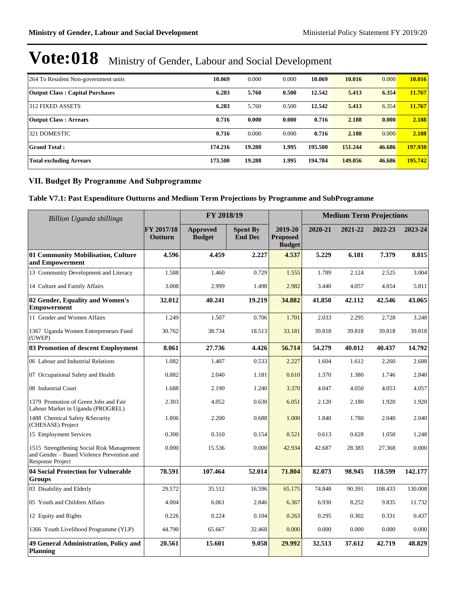| 264 To Resident Non-government units   | 10.069  | 0.000  | 0.000 | 10.069  | 10.016  | 0.000  | 10.016  |
|----------------------------------------|---------|--------|-------|---------|---------|--------|---------|
| <b>Output Class: Capital Purchases</b> | 6.283   | 5.760  | 0.500 | 12.542  | 5.413   | 6.354  | 11.767  |
| 312 FIXED ASSETS                       | 6.283   | 5.760  | 0.500 | 12.542  | 5.413   | 6.354  | 11.767  |
| <b>Output Class: Arrears</b>           | 0.716   | 0.000  | 0.000 | 0.716   | 2.188   | 0.000  | 2.188   |
| 1321 DOMESTIC                          | 0.716   | 0.000  | 0.000 | 0.716   | 2.188   | 0.000  | 2.188   |
| <b>Grand Total:</b>                    | 174.216 | 19.288 | 1.995 | 195.500 | 151.244 | 46.686 | 197.930 |
| <b>Total excluding Arrears</b>         | 173.500 | 19.288 | 1.995 | 194.784 | 149.056 | 46.686 | 195.742 |

#### **VII. Budget By Programme And Subprogramme**

### **Table V7.1: Past Expenditure Outturns and Medium Term Projections by Programme and SubProgramme**

| Billion Uganda shillings                                                                                    |                       | FY 2018/19                       |                                   |                                             | <b>Medium Term Projections</b> |         |         |         |  |
|-------------------------------------------------------------------------------------------------------------|-----------------------|----------------------------------|-----------------------------------|---------------------------------------------|--------------------------------|---------|---------|---------|--|
|                                                                                                             | FY 2017/18<br>Outturn | <b>Approved</b><br><b>Budget</b> | <b>Spent By</b><br><b>End Dec</b> | 2019-20<br><b>Proposed</b><br><b>Budget</b> | 2020-21                        | 2021-22 | 2022-23 | 2023-24 |  |
| 01 Community Mobilisation, Culture<br>and Empowerment                                                       | 4.596                 | 4.459                            | 2.227                             | 4.537                                       | 5.229                          | 6.181   | 7.379   | 8.815   |  |
| 13 Community Development and Literacy                                                                       | 1.588                 | 1.460                            | 0.729                             | 1.555                                       | 1.789                          | 2.124   | 2.525   | 3.004   |  |
| 14 Culture and Family Affairs                                                                               | 3.008                 | 2.999                            | 1.498                             | 2.982                                       | 3.440                          | 4.057   | 4.854   | 5.811   |  |
| 02 Gender, Equality and Women's<br><b>Empowerment</b>                                                       | 32.012                | 40.241                           | 19.219                            | 34.882                                      | 41.850                         | 42.112  | 42.546  | 43.065  |  |
| 11 Gender and Women Affairs                                                                                 | 1.249                 | 1.507                            | 0.706                             | 1.701                                       | 2.033                          | 2.295   | 2.728   | 3.248   |  |
| 1367 Uganda Women Entrepreneurs Fund<br>(UWEP)                                                              | 30.762                | 38.734                           | 18.513                            | 33.181                                      | 39.818                         | 39.818  | 39.818  | 39.818  |  |
| 03 Promotion of descent Employment                                                                          | 8.061                 | 27.736                           | 4.426                             | 56.714                                      | 54.279                         | 40.012  | 40.437  | 14.792  |  |
| 06 Labour and Industrial Relations                                                                          | 1.082                 | 1.407                            | 0.533                             | 2.227                                       | 1.604                          | 1.612   | 2.260   | 2.688   |  |
| 07 Occupational Safety and Health                                                                           | 0.882                 | 2.040                            | 1.181                             | 0.610                                       | 1.370                          | 1.380   | 1.746   | 2.840   |  |
| 08 Industrial Court                                                                                         | 1.688                 | 2.190                            | 1.240                             | 3.370                                       | 4.047                          | 4.050   | 4.053   | 4.057   |  |
| 1379 Promotion of Green Jobs and Fair<br>Labour Market in Uganda (PROGREL)                                  | 2.303                 | 4.052                            | 0.630                             | 6.051                                       | 2.120                          | 2.180   | 1.920   | 1.920   |  |
| 1488 Chemical Safety &Security<br>(CHESASE) Project                                                         | 1.806                 | 2.200                            | 0.688                             | 1.000                                       | 1.840                          | 1.780   | 2.040   | 2.040   |  |
| 15 Employment Services                                                                                      | 0.300                 | 0.310                            | 0.154                             | 0.521                                       | 0.613                          | 0.628   | 1.050   | 1.248   |  |
| 1515 Strengthening Social Risk Management<br>and Gender - Based Violence Prevention and<br>Response Project | 0.000                 | 15.536                           | 0.000                             | 42.934                                      | 42.687                         | 28.383  | 27.368  | 0.000   |  |
| 04 Social Protection for Vulnerable<br>Groups                                                               | 78.591                | 107.464                          | 52.014                            | 71.804                                      | 82.073                         | 98.945  | 118.599 | 142.177 |  |
| 03 Disability and Elderly                                                                                   | 29.572                | 35.512                           | 16.596                            | 65.175                                      | 74.848                         | 90.391  | 108.433 | 130.008 |  |
| 05 Youth and Children Affairs                                                                               | 4.004                 | 6.061                            | 2.846                             | 6.367                                       | 6.930                          | 8.252   | 9.835   | 11.732  |  |
| 12 Equity and Rights                                                                                        | 0.226                 | 0.224                            | 0.104                             | 0.263                                       | 0.295                          | 0.302   | 0.331   | 0.437   |  |
| 1366 Youth Livelihood Programme (YLP)                                                                       | 44.790                | 65.667                           | 32.468                            | 0.000                                       | 0.000                          | 0.000   | 0.000   | 0.000   |  |
| 49 General Administration, Policy and<br><b>Planning</b>                                                    | 20.561                | 15.601                           | 9.058                             | 29.992                                      | 32.513                         | 37.612  | 42.719  | 48.829  |  |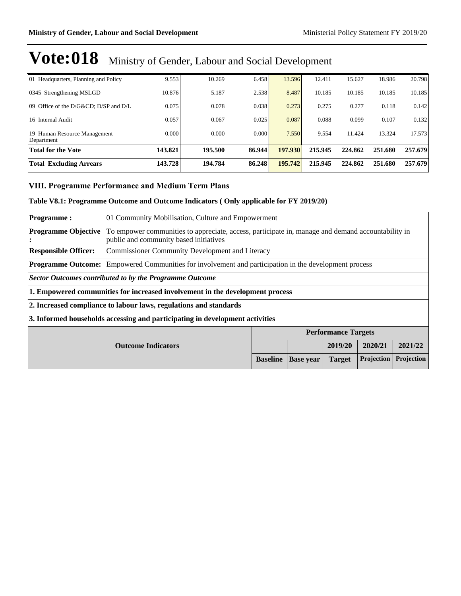| 01 Headquarters, Planning and Policy       | 9.553   | 10.269  | 6.458  | 13.596  | 12.411  | 15.627  | 18.986  | 20.798  |
|--------------------------------------------|---------|---------|--------|---------|---------|---------|---------|---------|
| 0345 Strengthening MSLGD                   | 10.876  | 5.187   | 2.538  | 8.487   | 10.185  | 10.185  | 10.185  | 10.185  |
| [09] Office of the D/G&CD D/SP and D/L     | 0.075   | 0.078   | 0.038  | 0.273   | 0.275   | 0.277   | 0.118   | 0.142   |
| 16 Internal Audit                          | 0.057   | 0.067   | 0.025  | 0.087   | 0.088   | 0.099   | 0.107   | 0.132   |
| 19 Human Resource Management<br>Department | 0.000   | 0.000   | 0.000  | 7.550   | 9.554   | 11.424  | 13.324  | 17.573  |
| <b>Total for the Vote</b>                  | 143.821 | 195.500 | 86.944 | 197.930 | 215.945 | 224.862 | 251.680 | 257.679 |
| <b>Total Excluding Arrears</b>             | 143.728 | 194.784 | 86.248 | 195.742 | 215.945 | 224.862 | 251.680 | 257.679 |

#### **VIII. Programme Performance and Medium Term Plans**

#### **Table V8.1: Programme Outcome and Outcome Indicators ( Only applicable for FY 2019/20)**

| <b>Programme:</b>                                                                                            | 01 Community Mobilisation, Culture and Empowerment                               |                                                                                                   |  |                            |  |  |  |  |  |  |  |  |  |
|--------------------------------------------------------------------------------------------------------------|----------------------------------------------------------------------------------|---------------------------------------------------------------------------------------------------|--|----------------------------|--|--|--|--|--|--|--|--|--|
| <b>Programme Objective</b><br>$\bullet$                                                                      | public and community based initiatives                                           | To empower communities to appreciate, access, participate in, manage and demand accountability in |  |                            |  |  |  |  |  |  |  |  |  |
| <b>Responsible Officer:</b>                                                                                  | <b>Commissioner Community Development and Literacy</b>                           |                                                                                                   |  |                            |  |  |  |  |  |  |  |  |  |
| <b>Programme Outcome:</b> Empowered Communities for involvement and participation in the development process |                                                                                  |                                                                                                   |  |                            |  |  |  |  |  |  |  |  |  |
| Sector Outcomes contributed to by the Programme Outcome                                                      |                                                                                  |                                                                                                   |  |                            |  |  |  |  |  |  |  |  |  |
|                                                                                                              | 1. Empowered communities for increased involvement in the development process    |                                                                                                   |  |                            |  |  |  |  |  |  |  |  |  |
|                                                                                                              | 2. Increased compliance to labour laws, regulations and standards                |                                                                                                   |  |                            |  |  |  |  |  |  |  |  |  |
|                                                                                                              | 3. Informed households accessing and participating in development activities     |                                                                                                   |  |                            |  |  |  |  |  |  |  |  |  |
|                                                                                                              |                                                                                  |                                                                                                   |  | <b>Performance Targets</b> |  |  |  |  |  |  |  |  |  |
| 2021/22<br>2019/20<br>2020/21<br><b>Outcome Indicators</b>                                                   |                                                                                  |                                                                                                   |  |                            |  |  |  |  |  |  |  |  |  |
|                                                                                                              | Projection<br>Projection<br><b>Baseline</b><br><b>Base</b> year<br><b>Target</b> |                                                                                                   |  |                            |  |  |  |  |  |  |  |  |  |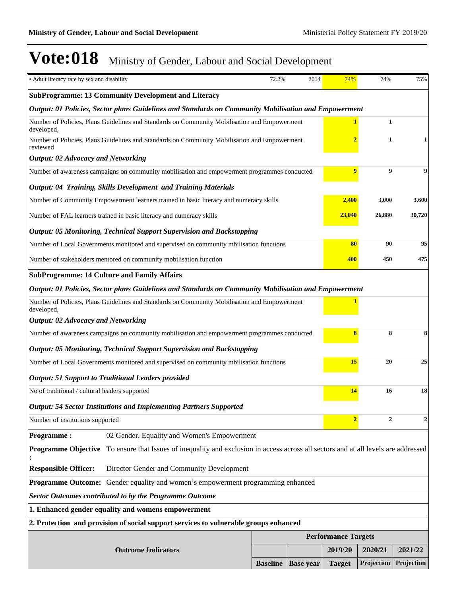| • Adult literacy rate by sex and disability    |                                                                                                                                           | 72.2%                      | 2014                               | 74%                     | 74%          | 75%              |  |
|------------------------------------------------|-------------------------------------------------------------------------------------------------------------------------------------------|----------------------------|------------------------------------|-------------------------|--------------|------------------|--|
|                                                | <b>SubProgramme: 13 Community Development and Literacy</b>                                                                                |                            |                                    |                         |              |                  |  |
|                                                | Output: 01 Policies, Sector plans Guidelines and Standards on Community Mobilisation and Empowerment                                      |                            |                                    |                         |              |                  |  |
| developed,                                     | Number of Policies, Plans Guidelines and Standards on Community Mobilisation and Empowerment                                              |                            |                                    |                         | $\mathbf{1}$ |                  |  |
| reviewed                                       | Number of Policies, Plans Guidelines and Standards on Community Mobilisation and Empowerment                                              |                            |                                    | $\overline{\mathbf{2}}$ | $\mathbf{1}$ | 1                |  |
| <b>Output: 02 Advocacy and Networking</b>      |                                                                                                                                           |                            |                                    |                         |              |                  |  |
|                                                | Number of awareness campaigns on community mobilisation and empowerment programmes conducted                                              |                            |                                    | $\overline{9}$          | 9            | 9                |  |
|                                                | <b>Output: 04 Training, Skills Development and Training Materials</b>                                                                     |                            |                                    |                         |              |                  |  |
|                                                | Number of Community Empowerment learners trained in basic literacy and numeracy skills                                                    |                            |                                    | 2,400                   | 3,000        | 3,600            |  |
|                                                | Number of FAL learners trained in basic literacy and numeracy skills                                                                      |                            |                                    | 23,040                  | 26,880       | 30,720           |  |
|                                                | <b>Output: 05 Monitoring, Technical Support Supervision and Backstopping</b>                                                              |                            |                                    |                         |              |                  |  |
|                                                | Number of Local Governments monitored and supervised on community mbilisation functions                                                   |                            |                                    | 80                      | 90           | 95               |  |
|                                                | Number of stakeholders mentored on community mobilisation function                                                                        |                            |                                    | 400                     | 450          | 475              |  |
|                                                | <b>SubProgramme: 14 Culture and Family Affairs</b>                                                                                        |                            |                                    |                         |              |                  |  |
|                                                | Output: 01 Policies, Sector plans Guidelines and Standards on Community Mobilisation and Empowerment                                      |                            |                                    |                         |              |                  |  |
| developed,                                     | Number of Policies, Plans Guidelines and Standards on Community Mobilisation and Empowerment                                              |                            |                                    |                         |              |                  |  |
| <b>Output: 02 Advocacy and Networking</b>      |                                                                                                                                           |                            |                                    |                         |              |                  |  |
|                                                | Number of awareness campaigns on community mobilisation and empowerment programmes conducted                                              |                            |                                    | 8                       | 8            | 8                |  |
|                                                | <b>Output: 05 Monitoring, Technical Support Supervision and Backstopping</b>                                                              |                            |                                    |                         |              |                  |  |
|                                                | Number of Local Governments monitored and supervised on community mbilisation functions                                                   |                            |                                    | 15                      | 20           | 25               |  |
|                                                | <b>Output: 51 Support to Traditional Leaders provided</b>                                                                                 |                            |                                    |                         |              |                  |  |
| No of traditional / cultural leaders supported |                                                                                                                                           |                            |                                    | 14                      | 16           | 18               |  |
|                                                | <b>Output: 54 Sector Institutions and Implementing Partners Supported</b>                                                                 |                            |                                    |                         |              |                  |  |
| Number of institutions supported               |                                                                                                                                           |                            |                                    | $\overline{2}$          | $\mathbf{2}$ | $\boldsymbol{2}$ |  |
| <b>Programme:</b>                              | 02 Gender, Equality and Women's Empowerment                                                                                               |                            |                                    |                         |              |                  |  |
|                                                | <b>Programme Objective</b> To ensure that Issues of inequality and exclusion in access across all sectors and at all levels are addressed |                            |                                    |                         |              |                  |  |
| <b>Responsible Officer:</b>                    | Director Gender and Community Development                                                                                                 |                            |                                    |                         |              |                  |  |
|                                                | Programme Outcome: Gender equality and women's empowerment programming enhanced                                                           |                            |                                    |                         |              |                  |  |
|                                                | <b>Sector Outcomes contributed to by the Programme Outcome</b>                                                                            |                            |                                    |                         |              |                  |  |
|                                                | 1. Enhanced gender equality and womens empowerment                                                                                        |                            |                                    |                         |              |                  |  |
|                                                | 2. Protection and provision of social support services to vulnerable groups enhanced                                                      |                            |                                    |                         |              |                  |  |
|                                                |                                                                                                                                           | <b>Performance Targets</b> |                                    |                         |              |                  |  |
|                                                | <b>Outcome Indicators</b>                                                                                                                 |                            |                                    | 2019/20                 | 2020/21      | 2021/22          |  |
|                                                |                                                                                                                                           |                            | <b>Baseline</b>   <b>Base</b> year | <b>Target</b>           | Projection   | Projection       |  |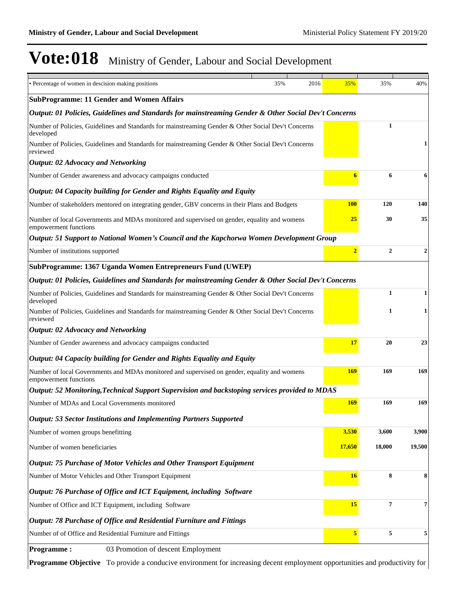| • Percentage of women in descision making positions                                                                   | 35% | 2016 | 35%            | 35%              | 40%    |
|-----------------------------------------------------------------------------------------------------------------------|-----|------|----------------|------------------|--------|
| <b>SubProgramme: 11 Gender and Women Affairs</b>                                                                      |     |      |                |                  |        |
| Output: 01 Policies, Guidelines and Standards for mainstreaming Gender & Other Social Dev't Concerns                  |     |      |                |                  |        |
| Number of Policies, Guidelines and Standards for mainstreaming Gender & Other Social Dev't Concerns<br>developed      |     |      |                | 1                |        |
| Number of Policies, Guidelines and Standards for mainstreaming Gender & Other Social Dev't Concerns<br>reviewed       |     |      |                |                  |        |
| <b>Output: 02 Advocacy and Networking</b>                                                                             |     |      |                |                  |        |
| Number of Gender awareness and advocacy campaigns conducted                                                           |     |      | 6              | 6                | 6      |
| Output: 04 Capacity building for Gender and Rights Equality and Equity                                                |     |      |                |                  |        |
| Number of stakeholders mentored on integrating gender, GBV concerns in their Plans and Budgets                        |     |      | <b>100</b>     | 120              | 140    |
| Number of local Governments and MDAs monitored and supervised on gender, equality and womens<br>empowerment functions |     |      | <b>25</b>      | 30               | 35     |
| Output: 51 Support to National Women's Council and the Kapchorwa Women Development Group                              |     |      |                |                  |        |
| Number of institutions supported                                                                                      |     |      | $\overline{2}$ | $\boldsymbol{2}$ | 2      |
| SubProgramme: 1367 Uganda Women Entrepreneurs Fund (UWEP)                                                             |     |      |                |                  |        |
| Output: 01 Policies, Guidelines and Standards for mainstreaming Gender & Other Social Dev't Concerns                  |     |      |                |                  |        |
| Number of Policies, Guidelines and Standards for mainstreaming Gender & Other Social Dev't Concerns<br>developed      |     |      |                | 1                | 1      |
| Number of Policies, Guidelines and Standards for mainstreaming Gender & Other Social Dev't Concerns<br>reviewed       |     |      |                | 1                | 1      |
| <b>Output: 02 Advocacy and Networking</b>                                                                             |     |      |                |                  |        |
| Number of Gender awareness and advocacy campaigns conducted                                                           |     |      | <b>17</b>      | 20               | 23     |
| Output: 04 Capacity building for Gender and Rights Equality and Equity                                                |     |      |                |                  |        |
| Number of local Governments and MDAs monitored and supervised on gender, equality and womens<br>empowerment functions |     |      | 169            | 169              | 169    |
| Output: 52 Monitoring, Technical Support Supervision and backstoping services provided to MDAS                        |     |      |                |                  |        |
| Number of MDAs and Local Governments monitored                                                                        |     |      | 169            | 169              | 169    |
| <b>Output: 53 Sector Institutions and Implementing Partners Supported</b>                                             |     |      |                |                  |        |
| Number of women groups benefitting                                                                                    |     |      | 3,530          | 3,600            | 3,900  |
| Number of women beneficiaries                                                                                         |     |      | 17,650         | 18,000           | 19,500 |
| <b>Output: 75 Purchase of Motor Vehicles and Other Transport Equipment</b>                                            |     |      |                |                  |        |
| Number of Motor Vehicles and Other Transport Equipment                                                                |     |      | <b>16</b>      | 8                | 8      |
| Output: 76 Purchase of Office and ICT Equipment, including Software                                                   |     |      |                |                  |        |
| Number of Office and ICT Equipment, including Software                                                                |     |      | 15             | $\overline{7}$   | 7      |
| Output: 78 Purchase of Office and Residential Furniture and Fittings                                                  |     |      |                |                  |        |
| Number of of Office and Residential Furniture and Fittings                                                            |     |      | 5              | 5                | 5      |
| 03 Promotion of descent Employment<br><b>Programme:</b>                                                               |     |      |                |                  |        |

**Programme Objective** To provide a conducive environment for increasing decent employment opportunities and productivity for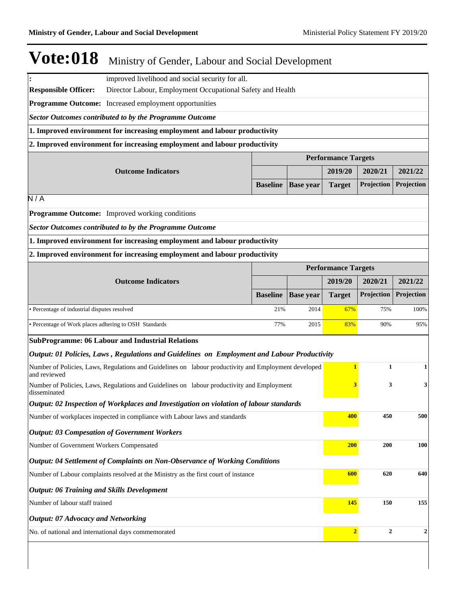**:** improved livelihood and social security for all.

**Responsible Officer:** Director Labour, Employment Occupational Safety and Health

**Programme Outcome:** Increased employment opportunities

*Sector Outcomes contributed to by the Programme Outcome*

**1. Improved environment for increasing employment and labour productivity** 

**2. Improved environment for increasing employment and labour productivity**

|                           | <b>Performance Targets</b> |  |         |                                                                |         |  |  |
|---------------------------|----------------------------|--|---------|----------------------------------------------------------------|---------|--|--|
| <b>Outcome Indicators</b> |                            |  | 2019/20 | 2020/21                                                        | 2021/22 |  |  |
|                           |                            |  |         | <b>Baseline   Base year   Target   Projection   Projection</b> |         |  |  |
|                           |                            |  |         |                                                                |         |  |  |

 $\overline{\mathsf{N}/\mathsf{A}}$ 

**Programme Outcome:** Improved working conditions

*Sector Outcomes contributed to by the Programme Outcome*

**1. Improved environment for increasing employment and labour productivity** 

**2. Improved environment for increasing employment and labour productivity**

|                                                       | <b>Performance Targets</b> |                             |               |                   |                   |  |  |
|-------------------------------------------------------|----------------------------|-----------------------------|---------------|-------------------|-------------------|--|--|
| <b>Outcome Indicators</b>                             |                            |                             | 2019/20       | 2020/21           | 2021/22           |  |  |
|                                                       |                            | <b>Baseline</b>   Base year | <b>Target</b> | <b>Projection</b> | <b>Projection</b> |  |  |
| • Percentage of industrial disputes resolved          | 21%                        | 2014                        | 67%           | 75%               | 100%              |  |  |
| • Percentage of Work places adhering to OSH Standards | 77%                        | 2015                        | 83%           | 90%               | 95%               |  |  |

#### **SubProgramme: 06 Labour and Industrial Relations**

|  |  |  | Output: 01 Policies, Laws, Regulations and Guidelines on Employment and Labour Productivity                            |                                                                                                             |  |  |  |
|--|--|--|------------------------------------------------------------------------------------------------------------------------|-------------------------------------------------------------------------------------------------------------|--|--|--|
|  |  |  | $\mathbf{M}$ is a set of $\mathbf{M}$ is the set of $\mathbf{M}$ is the set of $\mathbf{M}$ is the set of $\mathbf{M}$ | $\mathbf{r}$ , and $\mathbf{r}$ , and $\mathbf{r}$ , and $\mathbf{r}$ , and $\mathbf{r}$ , and $\mathbf{r}$ |  |  |  |

| Number of Policies, Laws, Regulations and Guidelines on labour productivity and Employment developed<br>and reviewed |            | 1            | $\mathbf{1}$ |
|----------------------------------------------------------------------------------------------------------------------|------------|--------------|--------------|
| Number of Policies, Laws, Regulations and Guidelines on labour productivity and Employment<br>disseminated           | 3          | 3            | 3            |
| Output: 02 Inspection of Workplaces and Investigation on violation of labour standards                               |            |              |              |
| Number of workplaces inspected in compliance with Labour laws and standards                                          | 400        | 450          | 500          |
| <b>Output: 03 Compesation of Government Workers</b>                                                                  |            |              |              |
| Number of Government Workers Compensated                                                                             | <b>200</b> | <b>200</b>   | 100          |
| <b>Output: 04 Settlement of Complaints on Non-Observance of Working Conditions</b>                                   |            |              |              |
| Number of Labour complaints resolved at the Ministry as the first court of instance                                  | 600        | 620          | 640          |
| <b>Output: 06 Training and Skills Development</b>                                                                    |            |              |              |
| Number of labour staff trained                                                                                       | 145        | 150          | 155          |
| <b>Output: 07 Advocacy and Networking</b>                                                                            |            |              |              |
| No. of national and international days commemorated                                                                  |            | $\mathbf{2}$ | $\mathbf{2}$ |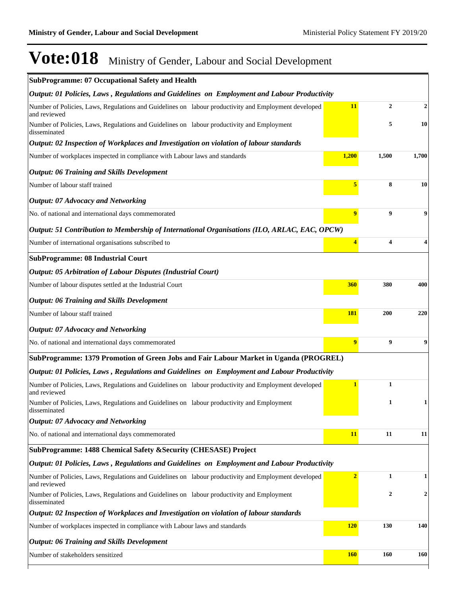| <b>SubProgramme: 07 Occupational Safety and Health</b>                                                               |                |                         |                  |
|----------------------------------------------------------------------------------------------------------------------|----------------|-------------------------|------------------|
| Output: 01 Policies, Laws, Regulations and Guidelines on Employment and Labour Productivity                          |                |                         |                  |
| Number of Policies, Laws, Regulations and Guidelines on labour productivity and Employment developed<br>and reviewed | 11             | $\overline{2}$          | $\boldsymbol{2}$ |
| Number of Policies, Laws, Regulations and Guidelines on labour productivity and Employment<br>disseminated           |                | 5                       | 10               |
| Output: 02 Inspection of Workplaces and Investigation on violation of labour standards                               |                |                         |                  |
| Number of workplaces inspected in compliance with Labour laws and standards                                          | 1,200          | 1,500                   | 1,700            |
| <b>Output: 06 Training and Skills Development</b>                                                                    |                |                         |                  |
| Number of labour staff trained                                                                                       | 5              | 8                       | 10               |
| <b>Output: 07 Advocacy and Networking</b>                                                                            |                |                         |                  |
| No. of national and international days commemorated                                                                  | 9              | 9                       | 9                |
| Output: 51 Contribution to Membership of International Organisations (ILO, ARLAC, EAC, OPCW)                         |                |                         |                  |
| Number of international organisations subscribed to                                                                  | 4              | $\overline{\mathbf{4}}$ | 4                |
| <b>SubProgramme: 08 Industrial Court</b>                                                                             |                |                         |                  |
| <b>Output: 05 Arbitration of Labour Disputes (Industrial Court)</b>                                                  |                |                         |                  |
| Number of labour disputes settled at the Industrial Court                                                            | 360            | 380                     | 400              |
| <b>Output: 06 Training and Skills Development</b>                                                                    |                |                         |                  |
| Number of labour staff trained                                                                                       | <b>181</b>     | 200                     | 220              |
| <b>Output: 07 Advocacy and Networking</b>                                                                            |                |                         |                  |
| No. of national and international days commemorated                                                                  | 9              | 9                       | 9                |
| SubProgramme: 1379 Promotion of Green Jobs and Fair Labour Market in Uganda (PROGREL)                                |                |                         |                  |
| Output: 01 Policies, Laws, Regulations and Guidelines on Employment and Labour Productivity                          |                |                         |                  |
| Number of Policies, Laws, Regulations and Guidelines on labour productivity and Employment developed<br>and reviewed | 1              | 1                       |                  |
| Number of Policies, Laws, Regulations and Guidelines on labour productivity and Employment<br>disseminated           |                | 1                       | 1                |
| <b>Output: 07 Advocacy and Networking</b>                                                                            |                |                         |                  |
| No. of national and international days commemorated                                                                  | 11             | 11                      | 11               |
| SubProgramme: 1488 Chemical Safety & Security (CHESASE) Project                                                      |                |                         |                  |
| Output: 01 Policies, Laws, Regulations and Guidelines on Employment and Labour Productivity                          |                |                         |                  |
| Number of Policies, Laws, Regulations and Guidelines on labour productivity and Employment developed<br>and reviewed | $\overline{2}$ | 1                       | 1                |
| Number of Policies, Laws, Regulations and Guidelines on labour productivity and Employment<br>disseminated           |                | $\boldsymbol{2}$        | $\boldsymbol{2}$ |
| Output: 02 Inspection of Workplaces and Investigation on violation of labour standards                               |                |                         |                  |
| Number of workplaces inspected in compliance with Labour laws and standards                                          | <b>120</b>     | 130                     | 140              |
| <b>Output: 06 Training and Skills Development</b>                                                                    |                |                         |                  |
| Number of stakeholders sensitized                                                                                    | <b>160</b>     | 160                     | 160              |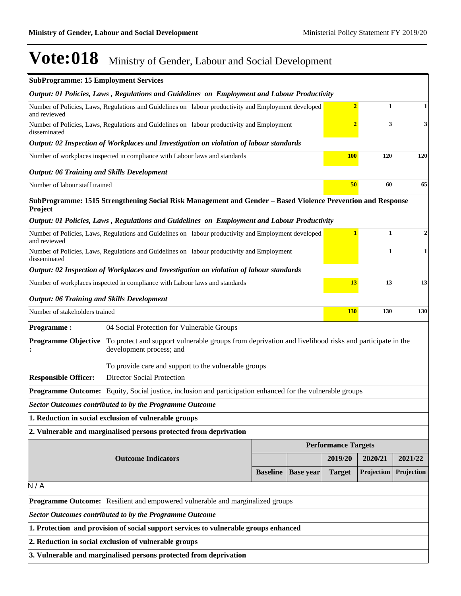| <b>SubProgramme: 15 Employment Services</b>                                                                      |                                                                                                                                   |                 |                  |                            |            |            |
|------------------------------------------------------------------------------------------------------------------|-----------------------------------------------------------------------------------------------------------------------------------|-----------------|------------------|----------------------------|------------|------------|
|                                                                                                                  | Output: 01 Policies, Laws, Regulations and Guidelines on Employment and Labour Productivity                                       |                 |                  |                            |            |            |
| and reviewed                                                                                                     | $\overline{2}$<br>Number of Policies, Laws, Regulations and Guidelines on labour productivity and Employment developed<br>1       |                 |                  |                            |            |            |
| disseminated                                                                                                     | Number of Policies, Laws, Regulations and Guidelines on labour productivity and Employment                                        |                 |                  | 2                          | 3          | 3          |
|                                                                                                                  | Output: 02 Inspection of Workplaces and Investigation on violation of labour standards                                            |                 |                  |                            |            |            |
|                                                                                                                  | Number of workplaces inspected in compliance with Labour laws and standards                                                       |                 |                  | <b>100</b>                 | 120        | 120        |
| <b>Output: 06 Training and Skills Development</b>                                                                |                                                                                                                                   |                 |                  |                            |            |            |
| Number of labour staff trained                                                                                   |                                                                                                                                   |                 |                  | 50                         | 60         | 65         |
| Project                                                                                                          | SubProgramme: 1515 Strengthening Social Risk Management and Gender - Based Violence Prevention and Response                       |                 |                  |                            |            |            |
|                                                                                                                  | Output: 01 Policies, Laws, Regulations and Guidelines on Employment and Labour Productivity                                       |                 |                  |                            |            |            |
| and reviewed                                                                                                     | Number of Policies, Laws, Regulations and Guidelines on labour productivity and Employment developed                              |                 |                  | 1                          | 1          | 2          |
| disseminated                                                                                                     | Number of Policies, Laws, Regulations and Guidelines on labour productivity and Employment                                        |                 |                  |                            | 1          | 1          |
|                                                                                                                  | Output: 02 Inspection of Workplaces and Investigation on violation of labour standards                                            |                 |                  |                            |            |            |
|                                                                                                                  | Number of workplaces inspected in compliance with Labour laws and standards                                                       |                 |                  | 13                         | 13         | 13         |
| <b>Output: 06 Training and Skills Development</b>                                                                |                                                                                                                                   |                 |                  |                            |            |            |
| Number of stakeholders trained                                                                                   |                                                                                                                                   | <b>130</b>      | 130              | 130                        |            |            |
| <b>Programme:</b>                                                                                                | 04 Social Protection for Vulnerable Groups                                                                                        |                 |                  |                            |            |            |
| <b>Programme Objective</b>                                                                                       | To protect and support vulnerable groups from deprivation and livelihood risks and participate in the<br>development process; and |                 |                  |                            |            |            |
|                                                                                                                  | To provide care and support to the vulnerable groups                                                                              |                 |                  |                            |            |            |
| <b>Responsible Officer:</b>                                                                                      | Director Social Protection                                                                                                        |                 |                  |                            |            |            |
| <b>Programme Outcome:</b> Equity, Social justice, inclusion and participation enhanced for the vulnerable groups |                                                                                                                                   |                 |                  |                            |            |            |
|                                                                                                                  | <b>Sector Outcomes contributed to by the Programme Outcome</b>                                                                    |                 |                  |                            |            |            |
|                                                                                                                  | 1. Reduction in social exclusion of vulnerable groups                                                                             |                 |                  |                            |            |            |
|                                                                                                                  | 2. Vulnerable and marginalised persons protected from deprivation                                                                 |                 |                  |                            |            |            |
|                                                                                                                  |                                                                                                                                   |                 |                  | <b>Performance Targets</b> |            |            |
|                                                                                                                  | <b>Outcome Indicators</b>                                                                                                         |                 |                  | 2019/20                    | 2020/21    | 2021/22    |
|                                                                                                                  |                                                                                                                                   | <b>Baseline</b> | <b>Base year</b> | <b>Target</b>              | Projection | Projection |
| $\overline{N/A}$                                                                                                 |                                                                                                                                   |                 |                  |                            |            |            |
|                                                                                                                  | Programme Outcome: Resilient and empowered vulnerable and marginalized groups                                                     |                 |                  |                            |            |            |
| <b>Sector Outcomes contributed to by the Programme Outcome</b>                                                   |                                                                                                                                   |                 |                  |                            |            |            |
| 1. Protection and provision of social support services to vulnerable groups enhanced                             |                                                                                                                                   |                 |                  |                            |            |            |
| 2. Reduction in social exclusion of vulnerable groups                                                            |                                                                                                                                   |                 |                  |                            |            |            |
|                                                                                                                  | 3. Vulnerable and marginalised persons protected from deprivation                                                                 |                 |                  |                            |            |            |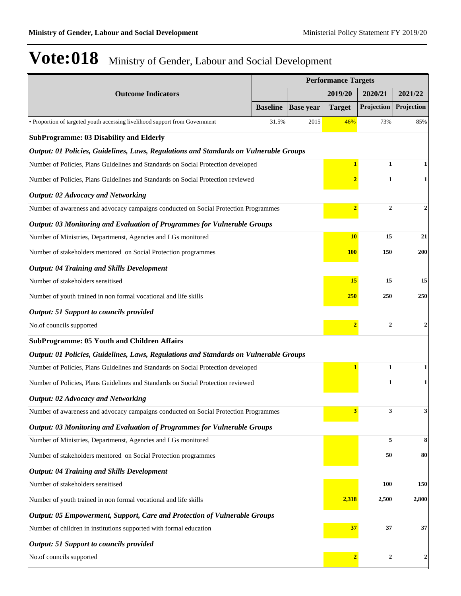| <b>Outcome Indicators</b><br><b>Baseline</b>                                          |                                                                                   | <b>Performance Targets</b> |                |                                    |                  |
|---------------------------------------------------------------------------------------|-----------------------------------------------------------------------------------|----------------------------|----------------|------------------------------------|------------------|
|                                                                                       |                                                                                   |                            | 2019/20        | 2020/21                            | 2021/22          |
|                                                                                       |                                                                                   | <b>Base year</b>           | <b>Target</b>  | Projection                         | Projection       |
| • Proportion of targeted youth accessing livelihood support from Government           | 31.5%                                                                             | 2015                       | 46%            | 73%                                | 85%              |
| <b>SubProgramme: 03 Disability and Elderly</b>                                        |                                                                                   |                            |                |                                    |                  |
| Output: 01 Policies, Guidelines, Laws, Regulations and Standards on Vulnerable Groups |                                                                                   |                            |                |                                    |                  |
| Number of Policies, Plans Guidelines and Standards on Social Protection developed     |                                                                                   |                            | $\mathbf{1}$   | $\mathbf{1}$                       | 1                |
| Number of Policies, Plans Guidelines and Standards on Social Protection reviewed      |                                                                                   |                            |                | 1                                  | 1                |
| <b>Output: 02 Advocacy and Networking</b>                                             |                                                                                   |                            |                |                                    |                  |
| Number of awareness and advocacy campaigns conducted on Social Protection Programmes  |                                                                                   |                            | $\overline{2}$ | $\mathbf{2}$                       | 2                |
| Output: 03 Monitoring and Evaluation of Programmes for Vulnerable Groups              |                                                                                   |                            |                |                                    |                  |
| Number of Ministries, Departmenst, Agencies and LGs monitored                         |                                                                                   |                            | <b>10</b>      | 15                                 | 21               |
| Number of stakeholders mentored on Social Protection programmes                       |                                                                                   |                            | <b>100</b>     | 150                                | 200              |
| <b>Output: 04 Training and Skills Development</b>                                     |                                                                                   |                            |                |                                    |                  |
| Number of stakeholders sensitised                                                     |                                                                                   |                            | 15             | 15                                 | 15               |
| Number of youth trained in non formal vocational and life skills                      |                                                                                   |                            | <b>250</b>     | 250                                | 250              |
| <b>Output: 51 Support to councils provided</b>                                        |                                                                                   |                            |                |                                    |                  |
| No.of councils supported                                                              |                                                                                   |                            |                | $\overline{2}$<br>$\boldsymbol{2}$ | $\mathbf{2}$     |
| <b>SubProgramme: 05 Youth and Children Affairs</b>                                    |                                                                                   |                            |                |                                    |                  |
| Output: 01 Policies, Guidelines, Laws, Regulations and Standards on Vulnerable Groups |                                                                                   |                            |                |                                    |                  |
|                                                                                       | Number of Policies, Plans Guidelines and Standards on Social Protection developed |                            |                |                                    | 1                |
| Number of Policies, Plans Guidelines and Standards on Social Protection reviewed      |                                                                                   |                            |                | 1                                  | 1                |
| <b>Output: 02 Advocacy and Networking</b>                                             |                                                                                   |                            |                |                                    |                  |
| Number of awareness and advocacy campaigns conducted on Social Protection Programmes  |                                                                                   |                            | 3              | 3                                  | 3                |
| Output: 03 Monitoring and Evaluation of Programmes for Vulnerable Groups              |                                                                                   |                            |                |                                    |                  |
| Number of Ministries, Departmenst, Agencies and LGs monitored                         |                                                                                   |                            |                | 5                                  | 8                |
| Number of stakeholders mentored on Social Protection programmes                       |                                                                                   |                            | 50             | 80                                 |                  |
| <b>Output: 04 Training and Skills Development</b>                                     |                                                                                   |                            |                |                                    |                  |
| Number of stakeholders sensitised                                                     |                                                                                   |                            |                | <b>100</b>                         | 150              |
| Number of youth trained in non formal vocational and life skills                      |                                                                                   |                            | 2,318          | 2,500                              | 2,800            |
| Output: 05 Empowerment, Support, Care and Protection of Vulnerable Groups             |                                                                                   |                            |                |                                    |                  |
| 37<br>Number of children in institutions supported with formal education<br>37        |                                                                                   |                            |                | 37                                 |                  |
| <b>Output: 51 Support to councils provided</b>                                        |                                                                                   |                            |                |                                    |                  |
| No.of councils supported                                                              |                                                                                   |                            | $\overline{2}$ | $\mathbf 2$                        | $\boldsymbol{2}$ |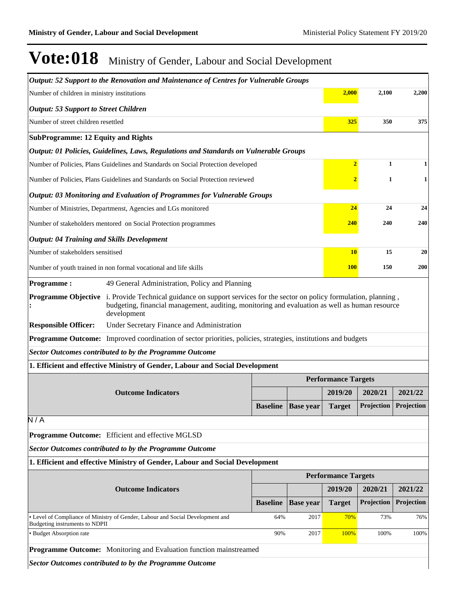|                                                                                                                      | Output: 52 Support to the Renovation and Maintenance of Centres for Vulnerable Groups                                                                                                                                                         |                 |                            |                            |              |            |
|----------------------------------------------------------------------------------------------------------------------|-----------------------------------------------------------------------------------------------------------------------------------------------------------------------------------------------------------------------------------------------|-----------------|----------------------------|----------------------------|--------------|------------|
| Number of children in ministry institutions                                                                          |                                                                                                                                                                                                                                               |                 |                            | 2,000                      | 2,100        | 2,200      |
| <b>Output: 53 Support to Street Children</b>                                                                         |                                                                                                                                                                                                                                               |                 |                            |                            |              |            |
| Number of street children resettled                                                                                  |                                                                                                                                                                                                                                               |                 |                            | 325                        | 350          | 375        |
| <b>SubProgramme: 12 Equity and Rights</b>                                                                            |                                                                                                                                                                                                                                               |                 |                            |                            |              |            |
|                                                                                                                      | Output: 01 Policies, Guidelines, Laws, Regulations and Standards on Vulnerable Groups                                                                                                                                                         |                 |                            |                            |              |            |
|                                                                                                                      | Number of Policies, Plans Guidelines and Standards on Social Protection developed                                                                                                                                                             |                 |                            | $\overline{2}$             | $\mathbf{1}$ | 1          |
|                                                                                                                      | Number of Policies, Plans Guidelines and Standards on Social Protection reviewed                                                                                                                                                              |                 |                            |                            | $\mathbf{1}$ | 1          |
|                                                                                                                      | Output: 03 Monitoring and Evaluation of Programmes for Vulnerable Groups                                                                                                                                                                      |                 |                            |                            |              |            |
|                                                                                                                      | Number of Ministries, Departmenst, Agencies and LGs monitored                                                                                                                                                                                 |                 |                            | 24                         | 24           | 24         |
|                                                                                                                      | Number of stakeholders mentored on Social Protection programmes                                                                                                                                                                               |                 |                            | 240                        | 240          | 240        |
| <b>Output: 04 Training and Skills Development</b>                                                                    |                                                                                                                                                                                                                                               |                 |                            |                            |              |            |
| Number of stakeholders sensitised                                                                                    |                                                                                                                                                                                                                                               |                 |                            | <b>10</b>                  | 15           | 20         |
|                                                                                                                      | Number of youth trained in non formal vocational and life skills                                                                                                                                                                              |                 |                            | <b>100</b>                 | 150          | 200        |
| <b>Programme:</b>                                                                                                    | 49 General Administration, Policy and Planning                                                                                                                                                                                                |                 |                            |                            |              |            |
|                                                                                                                      | <b>Programme Objective</b> i. Provide Technical guidance on support services for the sector on policy formulation, planning,<br>budgeting, financial management, auditing, monitoring and evaluation as well as human resource<br>development |                 |                            |                            |              |            |
| <b>Responsible Officer:</b>                                                                                          | Under Secretary Finance and Administration                                                                                                                                                                                                    |                 |                            |                            |              |            |
| <b>Programme Outcome:</b> Improved coordination of sector priorities, policies, strategies, institutions and budgets |                                                                                                                                                                                                                                               |                 |                            |                            |              |            |
|                                                                                                                      | <b>Sector Outcomes contributed to by the Programme Outcome</b>                                                                                                                                                                                |                 |                            |                            |              |            |
|                                                                                                                      | 1. Efficient and effective Ministry of Gender, Labour and Social Development                                                                                                                                                                  |                 |                            |                            |              |            |
|                                                                                                                      |                                                                                                                                                                                                                                               |                 |                            | <b>Performance Targets</b> |              |            |
|                                                                                                                      | <b>Outcome Indicators</b>                                                                                                                                                                                                                     |                 |                            | 2019/20                    | 2020/21      | 2021/22    |
|                                                                                                                      |                                                                                                                                                                                                                                               | <b>Baseline</b> | <b>Base year</b>           | <b>Target</b>              | Projection   | Projection |
| N/A                                                                                                                  |                                                                                                                                                                                                                                               |                 |                            |                            |              |            |
|                                                                                                                      | Programme Outcome: Efficient and effective MGLSD                                                                                                                                                                                              |                 |                            |                            |              |            |
|                                                                                                                      | <b>Sector Outcomes contributed to by the Programme Outcome</b>                                                                                                                                                                                |                 |                            |                            |              |            |
|                                                                                                                      | 1. Efficient and effective Ministry of Gender, Labour and Social Development                                                                                                                                                                  |                 |                            |                            |              |            |
|                                                                                                                      |                                                                                                                                                                                                                                               |                 | <b>Performance Targets</b> |                            |              |            |
|                                                                                                                      | <b>Outcome Indicators</b>                                                                                                                                                                                                                     |                 |                            | 2019/20                    | 2020/21      | 2021/22    |
|                                                                                                                      |                                                                                                                                                                                                                                               | <b>Baseline</b> | <b>Base year</b>           | <b>Target</b>              | Projection   | Projection |
| Budgeting instruments to NDPII                                                                                       | • Level of Compliance of Ministry of Gender, Labour and Social Development and                                                                                                                                                                | 64%             | 2017                       | 70%                        | 73%          | 76%        |
| · Budget Absorption rate                                                                                             |                                                                                                                                                                                                                                               | 90%             | 2017                       | 100%                       | 100%         | 100%       |
|                                                                                                                      | <b>Programme Outcome:</b> Monitoring and Evaluation function mainstreamed                                                                                                                                                                     |                 |                            |                            |              |            |
|                                                                                                                      | <b>Sector Outcomes contributed to by the Programme Outcome</b>                                                                                                                                                                                |                 |                            |                            |              |            |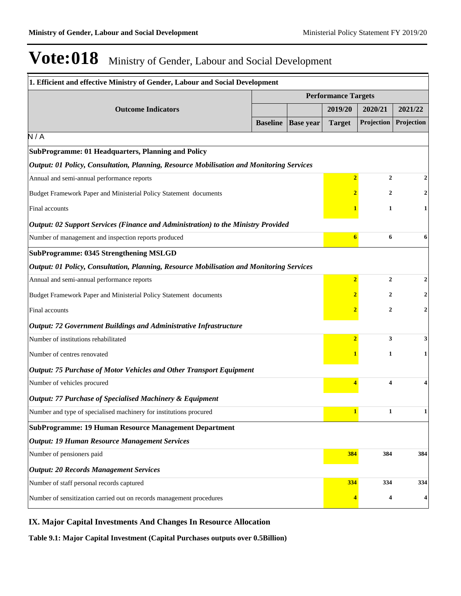| 1. Efficient and effective Ministry of Gender, Labour and Social Development             |                            |                  |                         |                |            |
|------------------------------------------------------------------------------------------|----------------------------|------------------|-------------------------|----------------|------------|
|                                                                                          | <b>Performance Targets</b> |                  |                         |                |            |
| <b>Outcome Indicators</b>                                                                |                            |                  | 2019/20                 | 2020/21        | 2021/22    |
|                                                                                          | <b>Baseline</b>            | <b>Base year</b> | <b>Target</b>           | Projection     | Projection |
| N/A                                                                                      |                            |                  |                         |                |            |
| SubProgramme: 01 Headquarters, Planning and Policy                                       |                            |                  |                         |                |            |
| Output: 01 Policy, Consultation, Planning, Resource Mobilisation and Monitoring Services |                            |                  |                         |                |            |
| Annual and semi-annual performance reports                                               |                            |                  | $\overline{2}$          | $\overline{2}$ |            |
| Budget Framework Paper and Ministerial Policy Statement documents                        |                            |                  |                         | 2              |            |
| Final accounts                                                                           |                            |                  |                         | 1              | 1          |
| <b>Output: 02 Support Services (Finance and Administration) to the Ministry Provided</b> |                            |                  |                         |                |            |
| Number of management and inspection reports produced                                     |                            |                  | 6                       | 6              | 6          |
| <b>SubProgramme: 0345 Strengthening MSLGD</b>                                            |                            |                  |                         |                |            |
| Output: 01 Policy, Consultation, Planning, Resource Mobilisation and Monitoring Services |                            |                  |                         |                |            |
| Annual and semi-annual performance reports                                               |                            |                  | $\overline{\mathbf{2}}$ | $\overline{2}$ | 2          |
| Budget Framework Paper and Ministerial Policy Statement documents                        |                            |                  |                         | 2              | 2          |
| Final accounts                                                                           |                            |                  |                         | 2              | 2          |
| <b>Output: 72 Government Buildings and Administrative Infrastructure</b>                 |                            |                  |                         |                |            |
| Number of institutions rehabilitated                                                     |                            |                  | $\overline{2}$          | 3              | 3          |
| Number of centres renovated                                                              |                            |                  |                         | 1              |            |
| <b>Output: 75 Purchase of Motor Vehicles and Other Transport Equipment</b>               |                            |                  |                         |                |            |
| Number of vehicles procured                                                              |                            |                  |                         | 4              |            |
| <b>Output: 77 Purchase of Specialised Machinery &amp; Equipment</b>                      |                            |                  |                         |                |            |
| Number and type of specialised machinery for institutions procured                       |                            |                  |                         |                |            |
| <b>SubProgramme: 19 Human Resource Management Department</b>                             |                            |                  |                         |                |            |
| <b>Output: 19 Human Resource Management Services</b>                                     |                            |                  |                         |                |            |
| Number of pensioners paid                                                                |                            |                  | 384                     | 384            | 384        |
| <b>Output: 20 Records Management Services</b>                                            |                            |                  |                         |                |            |
| Number of staff personal records captured                                                |                            |                  | 334                     | 334            | 334        |
| Number of sensitization carried out on records management procedures                     |                            |                  |                         | 4              | 4          |

#### **IX. Major Capital Investments And Changes In Resource Allocation**

**Table 9.1: Major Capital Investment (Capital Purchases outputs over 0.5Billion)**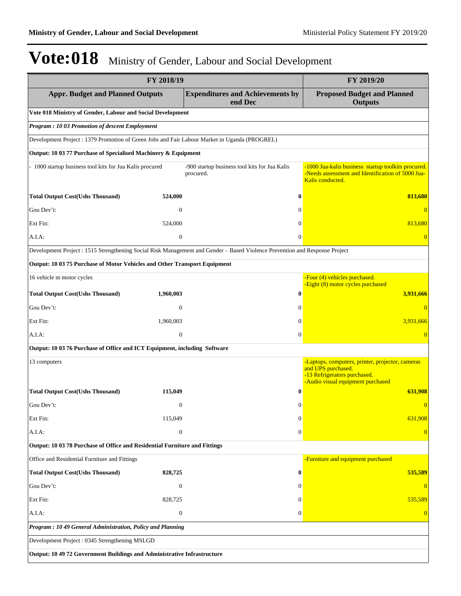| FY 2018/19                                                                                                                  |                                                            | FY 2019/20                                                                                                                                  |
|-----------------------------------------------------------------------------------------------------------------------------|------------------------------------------------------------|---------------------------------------------------------------------------------------------------------------------------------------------|
| <b>Appr. Budget and Planned Outputs</b>                                                                                     | <b>Expenditures and Achievements by</b><br>end Dec         | <b>Proposed Budget and Planned</b><br><b>Outputs</b>                                                                                        |
| Vote 018 Ministry of Gender, Labour and Social Development                                                                  |                                                            |                                                                                                                                             |
| <b>Program: 10 03 Promotion of descent Employment</b>                                                                       |                                                            |                                                                                                                                             |
| Development Project : 1379 Promotion of Green Jobs and Fair Labour Market in Uganda (PROGREL)                               |                                                            |                                                                                                                                             |
| Output: 10 03 77 Purchase of Specialised Machinery & Equipment                                                              |                                                            |                                                                                                                                             |
| 1000 startup business tool kits for Jua Kalis procured                                                                      | -900 startup business tool kits for Jua Kalis<br>procured. | -1000 Jua-kalis business startup toolkits procured.<br>-Needs assessment and Identification of 5000 Jua-<br>Kalis conducted.                |
| <b>Total Output Cost(Ushs Thousand)</b><br>524,000                                                                          | $\bf{0}$                                                   | 813,680                                                                                                                                     |
| Gou Dev't:<br>$\boldsymbol{0}$                                                                                              | $\Omega$                                                   |                                                                                                                                             |
| Ext Fin:<br>524,000                                                                                                         | $\Omega$                                                   | 813,680                                                                                                                                     |
| $\mathbf{0}$<br>A.I.A:                                                                                                      | $\theta$                                                   | $\overline{0}$                                                                                                                              |
| Development Project : 1515 Strengthening Social Risk Management and Gender - Based Violence Prevention and Response Project |                                                            |                                                                                                                                             |
| Output: 10 03 75 Purchase of Motor Vehicles and Other Transport Equipment                                                   |                                                            |                                                                                                                                             |
| 16 vehicle m motor cycles                                                                                                   |                                                            | -Four (4) vehicles purchased.<br>-Eight (8) motor cycles purchased                                                                          |
| <b>Total Output Cost(Ushs Thousand)</b><br>1,960,003                                                                        | $\bf{0}$                                                   | 3,931,666                                                                                                                                   |
| Gou Dev't:<br>$\mathbf{0}$                                                                                                  | $\Omega$                                                   | $\Omega$                                                                                                                                    |
| Ext Fin:<br>1,960,003                                                                                                       | $\theta$                                                   | 3,931,666                                                                                                                                   |
| A.I.A:<br>$\boldsymbol{0}$                                                                                                  | $\mathbf{0}$                                               | $\Omega$                                                                                                                                    |
| Output: 10 03 76 Purchase of Office and ICT Equipment, including Software                                                   |                                                            |                                                                                                                                             |
| 13 computers                                                                                                                |                                                            | -Laptops, computers, printer, projector, cameras<br>and UPS purchased.<br>-13 Refrigerators purchased.<br>-Audio visual equipment purchased |
| <b>Total Output Cost(Ushs Thousand)</b><br>115,049                                                                          | $\bf{0}$                                                   | 631,908                                                                                                                                     |
| Gou Dev't:<br>$\boldsymbol{0}$                                                                                              | $\theta$                                                   | $\overline{0}$                                                                                                                              |
| Ext Fin:<br>115,049                                                                                                         | $\boldsymbol{0}$                                           | 631,908                                                                                                                                     |
| A.I.A:<br>$\boldsymbol{0}$                                                                                                  | $\mathbf{0}$                                               |                                                                                                                                             |
| Output: 10 03 78 Purchase of Office and Residential Furniture and Fittings                                                  |                                                            |                                                                                                                                             |
| Office and Residential Furniture and Fittings                                                                               |                                                            | -Furniture and equipment purchased                                                                                                          |
| <b>Total Output Cost(Ushs Thousand)</b><br>828,725                                                                          | $\bf{0}$                                                   | 535,589                                                                                                                                     |
| Gou Dev't:<br>$\mathbf{0}$                                                                                                  | $\theta$                                                   |                                                                                                                                             |
| Ext Fin:<br>828,725                                                                                                         | $\Omega$                                                   | 535,589                                                                                                                                     |
| A.I.A:<br>$\boldsymbol{0}$                                                                                                  | $\overline{0}$                                             | $\theta$                                                                                                                                    |
| Program: 10 49 General Administration, Policy and Planning                                                                  |                                                            |                                                                                                                                             |
| Development Project: 0345 Strengthening MSLGD                                                                               |                                                            |                                                                                                                                             |
| Output: 10 49 72 Government Buildings and Administrative Infrastructure                                                     |                                                            |                                                                                                                                             |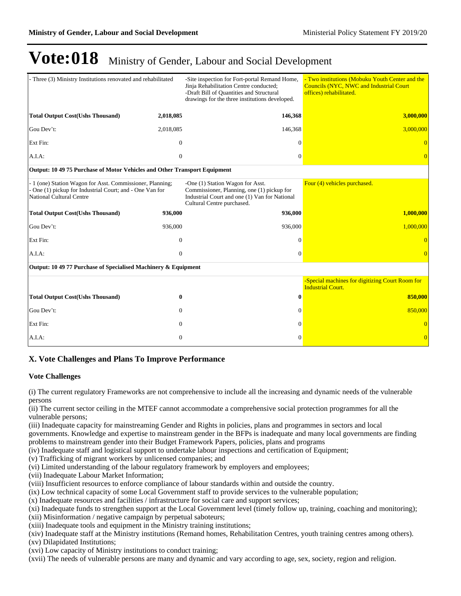| Three (3) Ministry Institutions renovated and rehabilitated                                                                                              |              | -Site inspection for Fort-portal Remand Home,<br>Jinja Rehabilitation Centre conducted;<br>-Draft Bill of Quantities and Structural<br>drawings for the three institutions developed. | - Two institutions (Mobuku Youth Center and the<br><b>Councils (NYC, NWC and Industrial Court</b><br>offices) rehabilitated. |
|----------------------------------------------------------------------------------------------------------------------------------------------------------|--------------|---------------------------------------------------------------------------------------------------------------------------------------------------------------------------------------|------------------------------------------------------------------------------------------------------------------------------|
| <b>Total Output Cost(Ushs Thousand)</b>                                                                                                                  | 2,018,085    | 146,368                                                                                                                                                                               | 3,000,000                                                                                                                    |
| Gou Dev't:                                                                                                                                               | 2,018,085    | 146,368                                                                                                                                                                               | 3.000.000                                                                                                                    |
| Ext Fin:                                                                                                                                                 | $\mathbf{0}$ | $\Omega$                                                                                                                                                                              |                                                                                                                              |
| A.I.A.                                                                                                                                                   | $\mathbf{0}$ | $\mathbf{0}$                                                                                                                                                                          |                                                                                                                              |
| Output: 10 49 75 Purchase of Motor Vehicles and Other Transport Equipment                                                                                |              |                                                                                                                                                                                       |                                                                                                                              |
| - 1 (one) Station Wagon for Asst. Commissioner, Planning;<br>- One (1) pickup for Industrial Court; and - One Van for<br><b>National Cultural Centre</b> |              | -One (1) Station Wagon for Asst.<br>Commissioner, Planning, one (1) pickup for<br>Industrial Court and one (1) Van for National<br>Cultural Centre purchased.                         | Four (4) vehicles purchased.                                                                                                 |
| <b>Total Output Cost(Ushs Thousand)</b>                                                                                                                  | 936,000      | 936,000                                                                                                                                                                               | 1,000,000                                                                                                                    |
| Gou Dev't:                                                                                                                                               | 936,000      | 936,000                                                                                                                                                                               | 1,000,000                                                                                                                    |
| Ext Fin:                                                                                                                                                 | $\mathbf{0}$ | $\mathbf{0}$                                                                                                                                                                          |                                                                                                                              |
| A.I.A.                                                                                                                                                   | $\mathbf{0}$ | $\Omega$                                                                                                                                                                              |                                                                                                                              |
| Output: 10 49 77 Purchase of Specialised Machinery & Equipment                                                                                           |              |                                                                                                                                                                                       |                                                                                                                              |
|                                                                                                                                                          |              |                                                                                                                                                                                       | -Special machines for digitizing Court Room for<br><b>Industrial Court.</b>                                                  |
| <b>Total Output Cost(Ushs Thousand)</b>                                                                                                                  | $\bf{0}$     | $\bf{0}$                                                                                                                                                                              | 850,000                                                                                                                      |
| Gou Dev't:                                                                                                                                               | $\Omega$     | $\Omega$                                                                                                                                                                              | 850,000                                                                                                                      |
| Ext Fin:                                                                                                                                                 | $\mathbf{0}$ | $\mathbf{0}$                                                                                                                                                                          |                                                                                                                              |
| A.I.A:                                                                                                                                                   | $\theta$     | $\Omega$                                                                                                                                                                              | $\overline{0}$                                                                                                               |

#### **X. Vote Challenges and Plans To Improve Performance**

#### **Vote Challenges**

(i) The current regulatory Frameworks are not comprehensive to include all the increasing and dynamic needs of the vulnerable persons

(ii) The current sector ceiling in the MTEF cannot accommodate a comprehensive social protection programmes for all the vulnerable persons;

(iii) Inadequate capacity for mainstreaming Gender and Rights in policies, plans and programmes in sectors and local

governments. Knowledge and expertise to mainstream gender in the BFPs is inadequate and many local governments are finding problems to mainstream gender into their Budget Framework Papers, policies, plans and programs

(iv) Inadequate staff and logistical support to undertake labour inspections and certification of Equipment;

(v) Trafficking of migrant workers by unlicensed companies; and

(vi) Limited understanding of the labour regulatory framework by employers and employees;

(vii) Inadequate Labour Market Information;

(viii) Insufficient resources to enforce compliance of labour standards within and outside the country.

(ix) Low technical capacity of some Local Government staff to provide services to the vulnerable population;

(x) Inadequate resources and facilities / infrastructure for social care and support services;

(xi) Inadequate funds to strengthen support at the Local Government level (timely follow up, training, coaching and monitoring);

(xii) Misinformation / negative campaign by perpetual saboteurs;

(xiii) Inadequate tools and equipment in the Ministry training institutions;

(xiv) Inadequate staff at the Ministry institutions (Remand homes, Rehabilitation Centres, youth training centres among others). (xv) Dilapidated Institutions;

(xvi) Low capacity of Ministry institutions to conduct training;

(xvii) The needs of vulnerable persons are many and dynamic and vary according to age, sex, society, region and religion.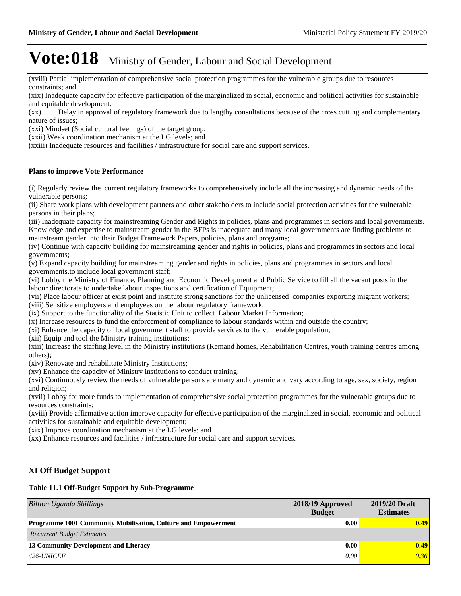(xviii) Partial implementation of comprehensive social protection programmes for the vulnerable groups due to resources constraints; and

(xix) Inadequate capacity for effective participation of the marginalized in social, economic and political activities for sustainable and equitable development.

(xx) Delay in approval of regulatory framework due to lengthy consultations because of the cross cutting and complementary nature of issues;

(xxi) Mindset (Social cultural feelings) of the target group;

(xxii) Weak coordination mechanism at the LG levels; and

(xxiii) Inadequate resources and facilities / infrastructure for social care and support services.

#### **Plans to improve Vote Performance**

(i) Regularly review the current regulatory frameworks to comprehensively include all the increasing and dynamic needs of the vulnerable persons;

(ii) Share work plans with development partners and other stakeholders to include social protection activities for the vulnerable persons in their plans;

(iii) Inadequate capacity for mainstreaming Gender and Rights in policies, plans and programmes in sectors and local governments. Knowledge and expertise to mainstream gender in the BFPs is inadequate and many local governments are finding problems to mainstream gender into their Budget Framework Papers, policies, plans and programs;

(iv) Continue with capacity building for mainstreaming gender and rights in policies, plans and programmes in sectors and local governments;

(v) Expand capacity building for mainstreaming gender and rights in policies, plans and programmes in sectors and local governments.to include local government staff;

(vi) Lobby the Ministry of Finance, Planning and Economic Development and Public Service to fill all the vacant posts in the labour directorate to undertake labour inspections and certification of Equipment;

(vii) Place labour officer at exist point and institute strong sanctions for the unlicensed companies exporting migrant workers; (viii) Sensitize employers and employees on the labour regulatory framework;

(ix) Support to the functionality of the Statistic Unit to collect Labour Market Information;

(x) Increase resources to fund the enforcement of compliance to labour standards within and outside the country;

(xi) Enhance the capacity of local government staff to provide services to the vulnerable population;

(xii) Equip and tool the Ministry training institutions;

(xiii) Increase the staffing level in the Ministry institutions (Remand homes, Rehabilitation Centres, youth training centres among others);

(xiv) Renovate and rehabilitate Ministry Institutions;

(xv) Enhance the capacity of Ministry institutions to conduct training;

(xvi) Continuously review the needs of vulnerable persons are many and dynamic and vary according to age, sex, society, region and religion;

(xvii) Lobby for more funds to implementation of comprehensive social protection programmes for the vulnerable groups due to resources constraints;

(xviii) Provide affirmative action improve capacity for effective participation of the marginalized in social, economic and political activities for sustainable and equitable development;

(xix) Improve coordination mechanism at the LG levels; and

(xx) Enhance resources and facilities / infrastructure for social care and support services.

#### **XI Off Budget Support**

#### **Table 11.1 Off-Budget Support by Sub-Programme**

| Billion Uganda Shillings                                              | 2018/19 Approved<br><b>Budget</b> | 2019/20 Draft<br><b>Estimates</b> |
|-----------------------------------------------------------------------|-----------------------------------|-----------------------------------|
| <b>Programme 1001 Community Mobilisation, Culture and Empowerment</b> | 0.00                              | 0.49                              |
| <b>Recurrent Budget Estimates</b>                                     |                                   |                                   |
| 13 Community Development and Literacy                                 | 0.00                              | 0.49                              |
| $426$ -UNICEF                                                         | 0.00                              | 0.36                              |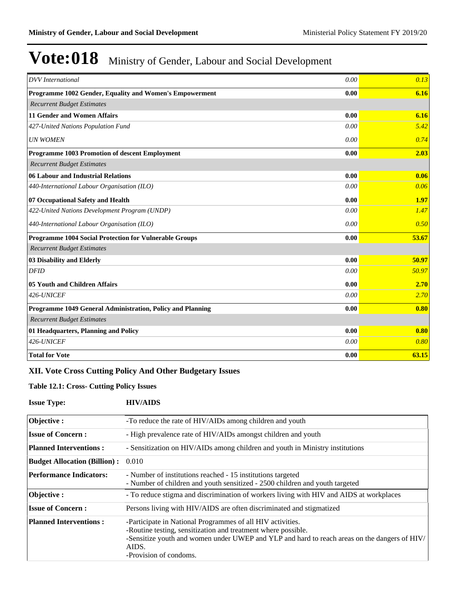| <b>DVV</b> International                                   | 0.00 | 0.13  |
|------------------------------------------------------------|------|-------|
| Programme 1002 Gender, Equality and Women's Empowerment    | 0.00 | 6.16  |
| <b>Recurrent Budget Estimates</b>                          |      |       |
| <b>11 Gender and Women Affairs</b>                         | 0.00 | 6.16  |
| 427-United Nations Population Fund                         | 0.00 | 5.42  |
| <b>UN WOMEN</b>                                            | 0.00 | 0.74  |
| Programme 1003 Promotion of descent Employment             | 0.00 | 2.03  |
| <b>Recurrent Budget Estimates</b>                          |      |       |
| 06 Labour and Industrial Relations                         | 0.00 | 0.06  |
| 440-International Labour Organisation (ILO)                | 0.00 | 0.06  |
| 07 Occupational Safety and Health                          | 0.00 | 1.97  |
| 422-United Nations Development Program (UNDP)              | 0.00 | 1.47  |
| 440-International Labour Organisation (ILO)                | 0.00 | 0.50  |
| Programme 1004 Social Protection for Vulnerable Groups     | 0.00 | 53.67 |
| <b>Recurrent Budget Estimates</b>                          |      |       |
| 03 Disability and Elderly                                  | 0.00 | 50.97 |
| <b>DFID</b>                                                | 0.00 | 50.97 |
| 05 Youth and Children Affairs                              | 0.00 | 2.70  |
| 426-UNICEF                                                 | 0.00 | 2.70  |
| Programme 1049 General Administration, Policy and Planning | 0.00 | 0.80  |
| <b>Recurrent Budget Estimates</b>                          |      |       |
| 01 Headquarters, Planning and Policy                       | 0.00 | 0.80  |
| 426-UNICEF                                                 | 0.00 | 0.80  |
| <b>Total for Vote</b>                                      | 0.00 | 63.15 |

### **XII. Vote Cross Cutting Policy And Other Budgetary Issues**

#### **Table 12.1: Cross- Cutting Policy Issues**

| <b>Issue Type:</b>                  | <b>HIV/AIDS</b>                                                                                                                                                                                                                                                |
|-------------------------------------|----------------------------------------------------------------------------------------------------------------------------------------------------------------------------------------------------------------------------------------------------------------|
| Objective:                          | -To reduce the rate of HIV/AIDs among children and youth                                                                                                                                                                                                       |
| <b>Issue of Concern:</b>            | - High prevalence rate of HIV/AIDs amongst children and youth                                                                                                                                                                                                  |
| <b>Planned Interventions:</b>       | - Sensitization on HIV/AIDs among children and youth in Ministry institutions                                                                                                                                                                                  |
| <b>Budget Allocation (Billion):</b> | 0.010                                                                                                                                                                                                                                                          |
| <b>Performance Indicators:</b>      | - Number of institutions reached - 15 institutions targeted<br>- Number of children and youth sensitized - 2500 children and youth targeted                                                                                                                    |
| Objective:                          | - To reduce stigma and discrimination of workers living with HIV and AIDS at workplaces                                                                                                                                                                        |
| <b>Issue of Concern:</b>            | Persons living with HIV/AIDS are often discriminated and stigmatized                                                                                                                                                                                           |
| <b>Planned Interventions:</b>       | -Participate in National Programmes of all HIV activities.<br>-Routine testing, sensitization and treatment where possible.<br>-Sensitize youth and women under UWEP and YLP and hard to reach areas on the dangers of HIV/<br>AIDS.<br>-Provision of condoms. |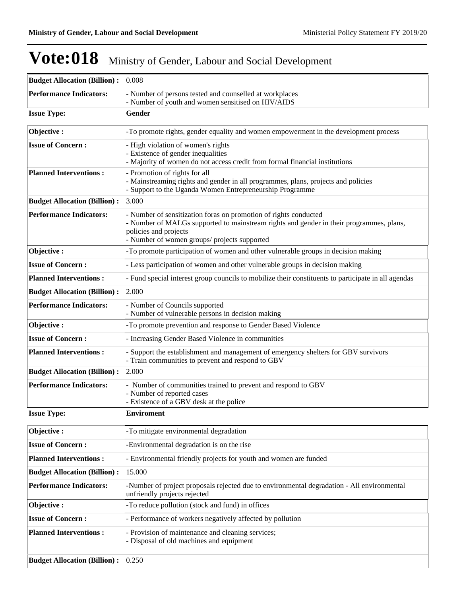| <b>Budget Allocation (Billion):</b> 0.008 |                                                                                                                                                                                                                                      |
|-------------------------------------------|--------------------------------------------------------------------------------------------------------------------------------------------------------------------------------------------------------------------------------------|
| <b>Performance Indicators:</b>            | - Number of persons tested and counselled at workplaces<br>- Number of youth and women sensitised on HIV/AIDS                                                                                                                        |
| <b>Issue Type:</b>                        | Gender                                                                                                                                                                                                                               |
| Objective:                                | -To promote rights, gender equality and women empowerment in the development process                                                                                                                                                 |
| <b>Issue of Concern:</b>                  | - High violation of women's rights<br>- Existence of gender inequalities<br>- Majority of women do not access credit from formal financial institutions                                                                              |
| <b>Planned Interventions:</b>             | - Promotion of rights for all<br>- Mainstreaming rights and gender in all programmes, plans, projects and policies<br>- Support to the Uganda Women Entrepreneurship Programme                                                       |
| <b>Budget Allocation (Billion):</b>       | 3.000                                                                                                                                                                                                                                |
| <b>Performance Indicators:</b>            | - Number of sensitization foras on promotion of rights conducted<br>- Number of MALGs supported to mainstream rights and gender in their programmes, plans,<br>policies and projects<br>- Number of women groups/ projects supported |
| Objective:                                | -To promote participation of women and other vulnerable groups in decision making                                                                                                                                                    |
| <b>Issue of Concern:</b>                  | - Less participation of women and other vulnerable groups in decision making                                                                                                                                                         |
| <b>Planned Interventions:</b>             | - Fund special interest group councils to mobilize their constituents to participate in all agendas                                                                                                                                  |
| <b>Budget Allocation (Billion):</b>       | 2.000                                                                                                                                                                                                                                |
| <b>Performance Indicators:</b>            | - Number of Councils supported<br>- Number of vulnerable persons in decision making                                                                                                                                                  |
| Objective:                                | -To promote prevention and response to Gender Based Violence                                                                                                                                                                         |
| <b>Issue of Concern:</b>                  | - Increasing Gender Based Violence in communities                                                                                                                                                                                    |
| <b>Planned Interventions:</b>             | - Support the establishment and management of emergency shelters for GBV survivors<br>- Train communities to prevent and respond to GBV                                                                                              |
| <b>Budget Allocation (Billion):</b>       | 2.000                                                                                                                                                                                                                                |
| <b>Performance Indicators:</b>            | - Number of communities trained to prevent and respond to GBV<br>- Number of reported cases<br>- Existence of a GBV desk at the police                                                                                               |
| <b>Issue Type:</b>                        | <b>Enviroment</b>                                                                                                                                                                                                                    |
| Objective:                                | -To mitigate environmental degradation                                                                                                                                                                                               |
| <b>Issue of Concern:</b>                  | -Environmental degradation is on the rise                                                                                                                                                                                            |
| <b>Planned Interventions:</b>             | - Environmental friendly projects for youth and women are funded                                                                                                                                                                     |
| <b>Budget Allocation (Billion):</b>       | 15.000                                                                                                                                                                                                                               |
| <b>Performance Indicators:</b>            | -Number of project proposals rejected due to environmental degradation - All environmental<br>unfriendly projects rejected                                                                                                           |
| Objective:                                | -To reduce pollution (stock and fund) in offices                                                                                                                                                                                     |
| <b>Issue of Concern:</b>                  | - Performance of workers negatively affected by pollution                                                                                                                                                                            |
| <b>Planned Interventions:</b>             | - Provision of maintenance and cleaning services;<br>- Disposal of old machines and equipment                                                                                                                                        |
| <b>Budget Allocation (Billion):</b>       | 0.250                                                                                                                                                                                                                                |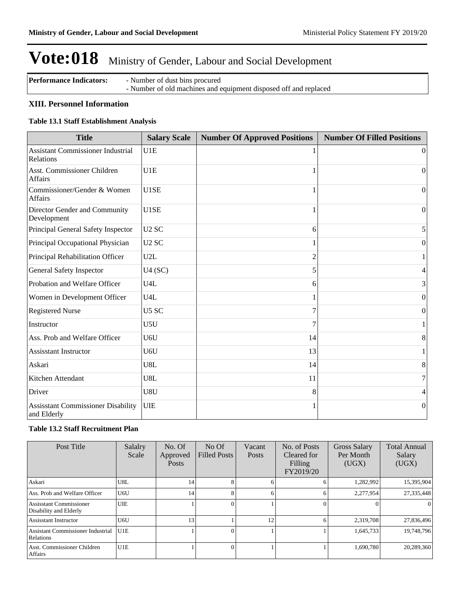| <b>Performance Indicators:</b> | - Number of dust bins procured                                   |
|--------------------------------|------------------------------------------------------------------|
|                                | - Number of old machines and equipment disposed off and replaced |

#### **XIII. Personnel Information**

#### **Table 13.1 Staff Establishment Analysis**

| <b>Title</b>                                             | <b>Salary Scale</b> | <b>Number Of Approved Positions</b> | <b>Number Of Filled Positions</b> |
|----------------------------------------------------------|---------------------|-------------------------------------|-----------------------------------|
| <b>Assistant Commissioner Industrial</b><br>Relations    | U1E                 |                                     | $\theta$                          |
| <b>Asst. Commissioner Children</b><br><b>Affairs</b>     | U1E                 |                                     | $\Omega$                          |
| Commissioner/Gender & Women<br><b>Affairs</b>            | U1SE                |                                     | $\Omega$                          |
| Director Gender and Community<br>Development             | U1SE                |                                     | $\Omega$                          |
| Principal General Safety Inspector                       | U <sub>2</sub> SC   | 6                                   | 5                                 |
| Principal Occupational Physician                         | U <sub>2</sub> SC   |                                     | $\theta$                          |
| Principal Rehabilitation Officer                         | U2L                 | $\overline{c}$                      |                                   |
| General Safety Inspector                                 | U4(SC)              |                                     | 4                                 |
| Probation and Welfare Officer                            | U4L                 | 6                                   | 3                                 |
| Women in Development Officer                             | U4L                 |                                     | $\theta$                          |
| <b>Registered Nurse</b>                                  | U5 SC               | 7                                   | $\boldsymbol{0}$                  |
| Instructor                                               | U5U                 |                                     |                                   |
| Ass. Prob and Welfare Officer                            | U6U                 | 14                                  | 8                                 |
| <b>Assisstant Instructor</b>                             | U6U                 | 13                                  |                                   |
| Askari                                                   | U8L                 | 14                                  | 8                                 |
| Kitchen Attendant                                        | U8L                 | 11                                  | $\overline{7}$                    |
| Driver                                                   | U8U                 | 8                                   | 4                                 |
| <b>Assisstant Commissioner Disability</b><br>and Elderly | <b>UIE</b>          |                                     | $\theta$                          |

#### **Table 13.2 Staff Recruitment Plan**

| Post Title                                               | Salalry<br>Scale | No. Of<br>Approved<br><b>Posts</b> | $No$ Of<br><b>Filled Posts</b> | Vacant<br>Posts | No. of Posts<br>Cleared for<br>Filling<br>FY2019/20 | Gross Salary<br>Per Month<br>(UGX) | <b>Total Annual</b><br>Salary<br>(UGX) |
|----------------------------------------------------------|------------------|------------------------------------|--------------------------------|-----------------|-----------------------------------------------------|------------------------------------|----------------------------------------|
| Askari                                                   | U8L              | 14                                 |                                |                 |                                                     | 1,282,992                          | 15,395,904                             |
| Ass. Prob and Welfare Officer                            | U6U              | 14                                 | 8                              | 6               | 6                                                   | 2,277,954                          | 27,335,448                             |
| <b>Assisstant Commissioner</b><br>Disability and Elderly | <b>UIE</b>       |                                    |                                |                 |                                                     | $\Omega$                           |                                        |
| <b>Assisstant Instructor</b>                             | U6U              | 13                                 |                                | 12              |                                                     | 2,319,708                          | 27,836,496                             |
| <b>Assistant Commissioner Industrial</b><br>Relations    | U1E              |                                    |                                |                 |                                                     | 1,645,733                          | 19,748,796                             |
| Asst. Commissioner Children<br>Affairs                   | U1E              |                                    |                                |                 |                                                     | 1,690,780                          | 20,289,360                             |